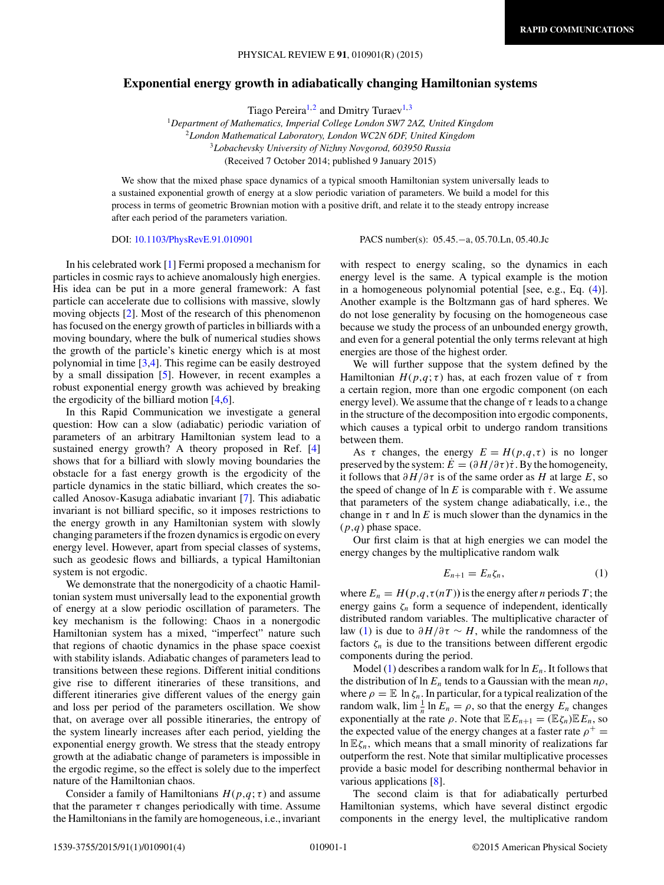# <span id="page-0-0"></span>**Exponential energy growth in adiabatically changing Hamiltonian systems**

Tiago Pereira<sup>1,2</sup> and Dmitry Turaev<sup>1,3</sup>

*Department of Mathematics, Imperial College London SW7 2AZ, United Kingdom London Mathematical Laboratory, London WC2N 6DF, United Kingdom Lobachevsky University of Nizhny Novgorod, 603950 Russia* (Received 7 October 2014; published 9 January 2015)

We show that the mixed phase space dynamics of a typical smooth Hamiltonian system universally leads to a sustained exponential growth of energy at a slow periodic variation of parameters. We build a model for this process in terms of geometric Brownian motion with a positive drift, and relate it to the steady entropy increase after each period of the parameters variation.

DOI: [10.1103/PhysRevE.91.010901](http://dx.doi.org/10.1103/PhysRevE.91.010901) PACS number(s): 05*.*45*.*−a*,* 05*.*70*.*Ln*,* 05*.*40*.*Jc

In his celebrated work [\[1\]](#page-3-0) Fermi proposed a mechanism for particles in cosmic rays to achieve anomalously high energies. His idea can be put in a more general framework: A fast particle can accelerate due to collisions with massive, slowly moving objects [\[2\]](#page-3-0). Most of the research of this phenomenon has focused on the energy growth of particles in billiards with a moving boundary, where the bulk of numerical studies shows the growth of the particle's kinetic energy which is at most polynomial in time [\[3,4\]](#page-3-0). This regime can be easily destroyed by a small dissipation [\[5\]](#page-3-0). However, in recent examples a robust exponential energy growth was achieved by breaking the ergodicity of the billiard motion  $[4,6]$ .

In this Rapid Communication we investigate a general question: How can a slow (adiabatic) periodic variation of parameters of an arbitrary Hamiltonian system lead to a sustained energy growth? A theory proposed in Ref. [\[4\]](#page-3-0) shows that for a billiard with slowly moving boundaries the obstacle for a fast energy growth is the ergodicity of the particle dynamics in the static billiard, which creates the socalled Anosov-Kasuga adiabatic invariant [\[7\]](#page-3-0). This adiabatic invariant is not billiard specific, so it imposes restrictions to the energy growth in any Hamiltonian system with slowly changing parameters if the frozen dynamics is ergodic on every energy level. However, apart from special classes of systems, such as geodesic flows and billiards, a typical Hamiltonian system is not ergodic.

We demonstrate that the nonergodicity of a chaotic Hamiltonian system must universally lead to the exponential growth of energy at a slow periodic oscillation of parameters. The key mechanism is the following: Chaos in a nonergodic Hamiltonian system has a mixed, "imperfect" nature such that regions of chaotic dynamics in the phase space coexist with stability islands. Adiabatic changes of parameters lead to transitions between these regions. Different initial conditions give rise to different itineraries of these transitions, and different itineraries give different values of the energy gain and loss per period of the parameters oscillation. We show that, on average over all possible itineraries, the entropy of the system linearly increases after each period, yielding the exponential energy growth. We stress that the steady entropy growth at the adiabatic change of parameters is impossible in the ergodic regime, so the effect is solely due to the imperfect nature of the Hamiltonian chaos.

Consider a family of Hamiltonians  $H(p,q;\tau)$  and assume that the parameter  $\tau$  changes periodically with time. Assume the Hamiltonians in the family are homogeneous, i.e., invariant

with respect to energy scaling, so the dynamics in each energy level is the same. A typical example is the motion in a homogeneous polynomial potential [see, e.g., Eq. [\(4\)](#page-1-0)]. Another example is the Boltzmann gas of hard spheres. We do not lose generality by focusing on the homogeneous case because we study the process of an unbounded energy growth, and even for a general potential the only terms relevant at high energies are those of the highest order.

We will further suppose that the system defined by the Hamiltonian  $H(p,q;\tau)$  has, at each frozen value of  $\tau$  from a certain region, more than one ergodic component (on each energy level). We assume that the change of  $\tau$  leads to a change in the structure of the decomposition into ergodic components, which causes a typical orbit to undergo random transitions between them.

As  $\tau$  changes, the energy  $E = H(p,q,\tau)$  is no longer preserved by the system:  $\dot{E} = (\partial H/\partial \tau)\dot{\tau}$ . By the homogeneity, it follows that  $\partial H/\partial \tau$  is of the same order as *H* at large *E*, so the speed of change of ln *E* is comparable with  $\dot{\tau}$ . We assume that parameters of the system change adiabatically, i.e., the change in  $\tau$  and ln *E* is much slower than the dynamics in the (*p,q*) phase space.

Our first claim is that at high energies we can model the energy changes by the multiplicative random walk

$$
E_{n+1} = E_n \zeta_n,\tag{1}
$$

where  $E_n = H(p,q,\tau(nT))$  is the energy after *n* periods *T*; the energy gains  $\zeta_n$  form a sequence of independent, identically distributed random variables. The multiplicative character of law (1) is due to  $\partial H/\partial \tau \sim H$ , while the randomness of the factors  $\zeta_n$  is due to the transitions between different ergodic components during the period.

Model (1) describes a random walk for ln *En*. It follows that the distribution of  $\ln E_n$  tends to a Gaussian with the mean  $n\rho$ , where  $\rho = \mathbb{E} \ln \zeta_n$ . In particular, for a typical realization of the random walk,  $\lim_{n} \frac{1}{n} \ln E_n = \rho$ , so that the energy  $E_n$  changes exponentially at the rate  $\rho$ . Note that  $\mathbb{E} E_{n+1} = (\mathbb{E} \zeta_n) \mathbb{E} E_n$ , so the expected value of the energy changes at a faster rate  $\rho^+$  = ln  $\mathbb{E}\zeta_n$ , which means that a small minority of realizations far outperform the rest. Note that similar multiplicative processes provide a basic model for describing nonthermal behavior in various applications [\[8\]](#page-3-0).

The second claim is that for adiabatically perturbed Hamiltonian systems, which have several distinct ergodic components in the energy level, the multiplicative random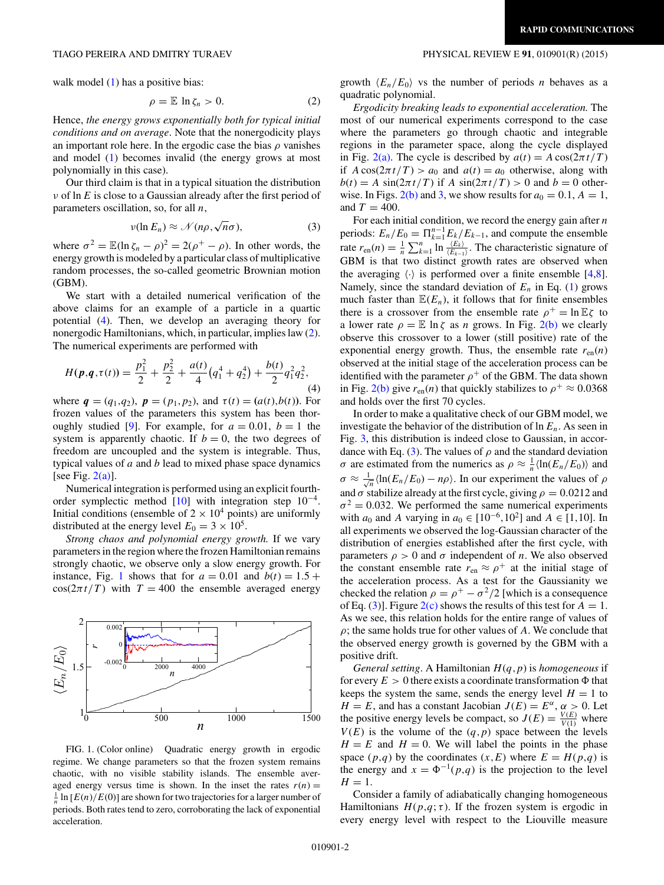# <span id="page-1-0"></span>TIAGO PEREIRA AND DMITRY TURAEV PHYSICAL REVIEW E **91**, 010901(R) (2015)

walk model  $(1)$  has a positive bias:

$$
\rho = \mathbb{E} \ln \zeta_n > 0. \tag{2}
$$

Hence, *the energy grows exponentially both for typical initial conditions and on average*. Note that the nonergodicity plays an important role here. In the ergodic case the bias  $\rho$  vanishes and model [\(1\)](#page-0-0) becomes invalid (the energy grows at most polynomially in this case).

Our third claim is that in a typical situation the distribution *ν* of ln *E* is close to a Gaussian already after the first period of parameters oscillation, so, for all *n*,

$$
\nu(\ln E_n) \approx \mathcal{N}(n\rho, \sqrt{n}\sigma), \qquad (3)
$$

where  $\sigma^2 = \mathbb{E}(\ln \zeta_n - \rho)^2 = 2(\rho^+ - \rho)$ . In other words, the energy growth is modeled by a particular class of multiplicative random processes, the so-called geometric Brownian motion (GBM).

We start with a detailed numerical verification of the above claims for an example of a particle in a quartic potential (4). Then, we develop an averaging theory for nonergodic Hamiltonians, which, in particular, implies law (2). The numerical experiments are performed with

$$
H(\boldsymbol{p}, \boldsymbol{q}, \tau(t)) = \frac{p_1^2}{2} + \frac{p_2^2}{2} + \frac{a(t)}{4} \left( q_1^4 + q_2^4 \right) + \frac{b(t)}{2} q_1^2 q_2^2,
$$
\n(4)

where  $q = (q_1, q_2)$ ,  $p = (p_1, p_2)$ , and  $\tau(t) = (a(t), b(t))$ . For frozen values of the parameters this system has been thor-oughly studied [\[9\]](#page-3-0). For example, for  $a = 0.01$ ,  $b = 1$  the system is apparently chaotic. If  $b = 0$ , the two degrees of freedom are uncoupled and the system is integrable. Thus, typical values of *a* and *b* lead to mixed phase space dynamics [see Fig.  $2(a)$ ].

Numerical integration is performed using an explicit fourthorder symplectic method  $[10]$  with integration step  $10^{-4}$ . Initial conditions (ensemble of  $2 \times 10^4$  points) are uniformly distributed at the energy level  $E_0 = 3 \times 10^5$ .

*Strong chaos and polynomial energy growth.* If we vary parameters in the region where the frozen Hamiltonian remains strongly chaotic, we observe only a slow energy growth. For instance, Fig. 1 shows that for  $a = 0.01$  and  $b(t) = 1.5 +$  $\cos(2\pi t/T)$  with  $T = 400$  the ensemble averaged energy



FIG. 1. (Color online) Quadratic energy growth in ergodic regime. We change parameters so that the frozen system remains chaotic, with no visible stability islands. The ensemble averaged energy versus time is shown. In the inset the rates  $r(n)$  =  $\frac{1}{n}$  ln [ $E(n)/E(0)$ ] are shown for two trajectories for a larger number of periods. Both rates tend to zero, corroborating the lack of exponential acceleration.

growth  $\langle E_n/E_0 \rangle$  vs the number of periods *n* behaves as a quadratic polynomial.

*Ergodicity breaking leads to exponential acceleration.* The most of our numerical experiments correspond to the case where the parameters go through chaotic and integrable regions in the parameter space, along the cycle displayed in Fig. [2\(a\).](#page-2-0) The cycle is described by  $a(t) = A \cos(2\pi t/T)$ if  $A \cos(2\pi t/T) > a_0$  and  $a(t) = a_0$  otherwise, along with  $b(t) = A \sin(2\pi t/T)$  if  $A \sin(2\pi t/T) > 0$  and  $b = 0$  otherwise. In Figs.  $2(b)$  and [3,](#page-2-0) we show results for  $a_0 = 0.1$ ,  $A = 1$ , and  $T = 400$ .

For each initial condition, we record the energy gain after *n* periods:  $E_n/E_0 = \prod_{k=1}^{n-1} E_k/E_{k-1}$ , and compute the ensemble rate  $r_{en}(n) = \frac{1}{n} \sum_{k=1}^{n} \ln \frac{\langle E_k \rangle}{\langle E_{k-1} \rangle}$ . The characteristic signature of GBM is that two distinct growth rates are observed when the averaging  $\langle \cdot \rangle$  is performed over a finite ensemble [\[4,8\]](#page-3-0). Namely, since the standard deviation of  $E_n$  in Eq. [\(1\)](#page-0-0) grows much faster than  $\mathbb{E}(E_n)$ , it follows that for finite ensembles there is a crossover from the ensemble rate  $\rho^+ = \ln \mathbb{E} \zeta$  to a lower rate  $\rho = \mathbb{E} \ln \zeta$  as *n* grows. In Fig. [2\(b\)](#page-2-0) we clearly observe this crossover to a lower (still positive) rate of the exponential energy growth. Thus, the ensemble rate  $r_{en}(n)$ observed at the initial stage of the acceleration process can be identified with the parameter  $\rho^+$  of the GBM. The data shown in Fig. [2\(b\)](#page-2-0) give  $r_{en}(n)$  that quickly stabilizes to  $\rho^+ \approx 0.0368$ and holds over the first 70 cycles.

In order to make a qualitative check of our GBM model, we investigate the behavior of the distribution of ln *En*. As seen in Fig. [3,](#page-2-0) this distribution is indeed close to Gaussian, in accordance with Eq. (3). The values of  $\rho$  and the standard deviation *σ* are estimated from the numerics as  $\rho \approx \frac{1}{n} \langle \ln(E_n/E_0) \rangle$  and  $\sigma \approx \frac{1}{\sqrt{n}} \langle \ln(E_n/E_0) - n\rho \rangle$ . In our experiment the values of  $\rho$ and  $\sigma$  stabilize already at the first cycle, giving  $\rho = 0.0212$  and  $\sigma^2 = 0.032$ . We performed the same numerical experiments with *a*<sub>0</sub> and *A* varying in *a*<sub>0</sub> ∈ [10<sup>-6</sup>,10<sup>2</sup>] and *A* ∈ [1,10]. In all experiments we observed the log-Gaussian character of the distribution of energies established after the first cycle, with parameters  $\rho > 0$  and  $\sigma$  independent of *n*. We also observed the constant ensemble rate  $r_{en} \approx \rho^+$  at the initial stage of the acceleration process. As a test for the Gaussianity we checked the relation  $\rho = \rho^+ - \sigma^2/2$  [which is a consequence of Eq. (3)]. Figure  $2(c)$  shows the results of this test for  $A = 1$ . As we see, this relation holds for the entire range of values of *ρ*; the same holds true for other values of *A*. We conclude that the observed energy growth is governed by the GBM with a positive drift.

*General setting*. A Hamiltonian *H*(*q,p*) is *homogeneous* if for every  $E > 0$  there exists a coordinate transformation  $\Phi$  that keeps the system the same, sends the energy level  $H = 1$  to *H* = *E*, and has a constant Jacobian  $J(E) = E^{\alpha}, \alpha > 0$ . Let the positive energy levels be compact, so  $J(E) = \frac{V(E)}{V(1)}$  where  $V(E)$  is the volume of the  $(q, p)$  space between the levels  $H = E$  and  $H = 0$ . We will label the points in the phase space  $(p,q)$  by the coordinates  $(x, E)$  where  $E = H(p,q)$  is the energy and  $x = \Phi^{-1}(p,q)$  is the projection to the level  $H=1$ .

Consider a family of adiabatically changing homogeneous Hamiltonians  $H(p,q;\tau)$ . If the frozen system is ergodic in every energy level with respect to the Liouville measure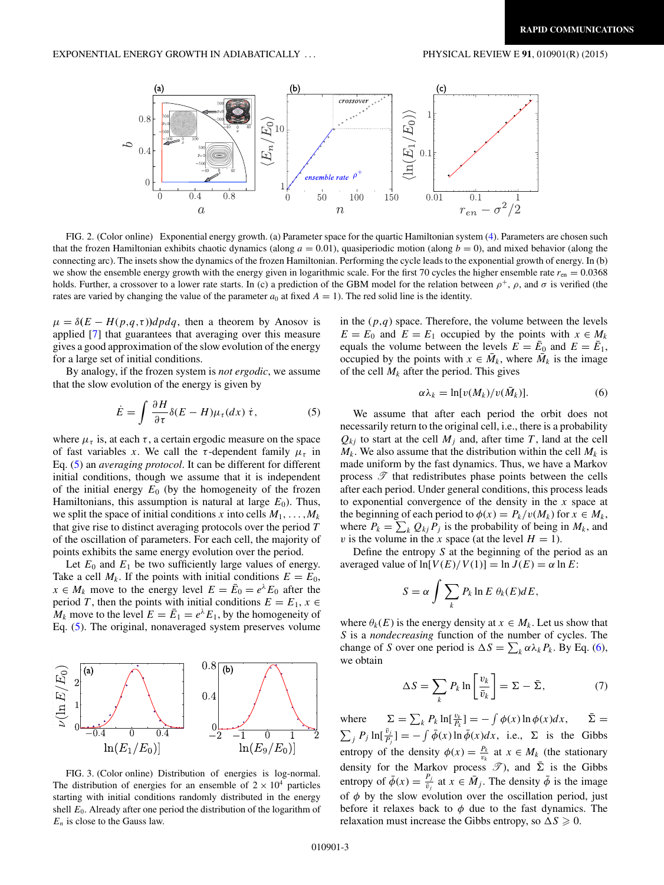<span id="page-2-0"></span>

FIG. 2. (Color online) Exponential energy growth. (a) Parameter space for the quartic Hamiltonian system [\(4\)](#page-1-0). Parameters are chosen such that the frozen Hamiltonian exhibits chaotic dynamics (along  $a = 0.01$ ), quasiperiodic motion (along  $b = 0$ ), and mixed behavior (along the connecting arc). The insets show the dynamics of the frozen Hamiltonian. Performing the cycle leads to the exponential growth of energy. In (b) we show the ensemble energy growth with the energy given in logarithmic scale. For the first 70 cycles the higher ensemble rate  $r_{en} = 0.0368$ holds. Further, a crossover to a lower rate starts. In (c) a prediction of the GBM model for the relation between  $\rho^+$ ,  $\rho$ , and  $\sigma$  is verified (the rates are varied by changing the value of the parameter  $a_0$  at fixed  $A = 1$ ). The red solid line is the identity.

 $\mu = \delta(E - H(p,q,\tau))dpdq$ , then a theorem by Anosov is applied [\[7\]](#page-3-0) that guarantees that averaging over this measure gives a good approximation of the slow evolution of the energy for a large set of initial conditions.

By analogy, if the frozen system is *not ergodic*, we assume that the slow evolution of the energy is given by

$$
\dot{E} = \int \frac{\partial H}{\partial \tau} \delta(E - H) \mu_{\tau}(dx) \dot{\tau}, \qquad (5)
$$

where  $\mu_{\tau}$  is, at each  $\tau$ , a certain ergodic measure on the space of fast variables *x*. We call the  $\tau$ -dependent family  $\mu_{\tau}$  in Eq. (5) an *averaging protocol*. It can be different for different initial conditions, though we assume that it is independent of the initial energy  $E_0$  (by the homogeneity of the frozen Hamiltonians, this assumption is natural at large  $E_0$ ). Thus, we split the space of initial conditions *x* into cells  $M_1, \ldots, M_k$ that give rise to distinct averaging protocols over the period *T* of the oscillation of parameters. For each cell, the majority of points exhibits the same energy evolution over the period.

Let  $E_0$  and  $E_1$  be two sufficiently large values of energy. Take a cell  $M_k$ . If the points with initial conditions  $E = E_0$ ,  $x \in M_k$  move to the energy level  $E = \bar{E}_0 = e^{\lambda} E_0$  after the period *T*, then the points with initial conditions  $E = E_1, x \in$ *M<sub>k</sub>* move to the level  $E = \bar{E}_1 = e^{\lambda} E_1$ , by the homogeneity of Eq. (5). The original, nonaveraged system preserves volume



FIG. 3. (Color online) Distribution of energies is log-normal. The distribution of energies for an ensemble of  $2 \times 10^4$  particles starting with initial conditions randomly distributed in the energy shell  $E_0$ . Already after one period the distribution of the logarithm of  $E_n$  is close to the Gauss law.

in the  $(p,q)$  space. Therefore, the volume between the levels  $E = E_0$  and  $E = E_1$  occupied by the points with  $x \in M_k$ equals the volume between the levels  $E = \bar{E}_0$  and  $E = \bar{E}_1$ , occupied by the points with  $x \in M_k$ , where  $M_k$  is the image of the cell  $M_k$  after the period. This gives

$$
\alpha \lambda_k = \ln[v(M_k)/v(\bar{M}_k)]. \tag{6}
$$

We assume that after each period the orbit does not necessarily return to the original cell, i.e., there is a probability  $Q_{kj}$  to start at the cell  $M_j$  and, after time *T*, land at the cell  $M_k$ . We also assume that the distribution within the cell  $M_k$  is made uniform by the fast dynamics. Thus, we have a Markov process  $\mathscr T$  that redistributes phase points between the cells after each period. Under general conditions, this process leads to exponential convergence of the density in the *x* space at the beginning of each period to  $\phi(x) = P_k/v(M_k)$  for  $x \in M_k$ , where  $P_k = \sum_k Q_{kj} P_j$  is the probability of being in  $M_k$ , and *v* is the volume in the *x* space (at the level  $H = 1$ ).

Define the entropy *S* at the beginning of the period as an averaged value of  $ln[V(E)/V(1)] = ln J(E) = \alpha ln E$ :

$$
S = \alpha \int \sum_{k} P_{k} \ln E \theta_{k}(E) dE,
$$

where  $\theta_k(E)$  is the energy density at  $x \in M_k$ . Let us show that *S* is a *nondecreasing* function of the number of cycles. The change of *S* over one period is  $\Delta S = \sum_{k} \alpha \lambda_k P_k$ . By Eq. (6), we obtain

$$
\Delta S = \sum_{k} P_k \ln \left[ \frac{v_k}{\bar{v}_k} \right] = \Sigma - \bar{\Sigma}, \tag{7}
$$

where  $\Sigma = \sum_{k} P_{k} \ln[\frac{v_{k}}{P_{k}}] = -\int \phi(x) \ln \phi(x) dx, \quad \bar{\Sigma} =$  $\sum_{j} P_j \ln[\frac{\bar{v}_j}{P_j}] = -\int \bar{\phi}(x) \ln \bar{\phi}(x) dx$ , i.e.,  $\Sigma$  is the Gibbs entropy of the density  $\phi(x) = \frac{P_k}{v_k}$  at  $x \in M_k$  (the stationary density for the Markov process  $\mathscr{T}$ ), and  $\bar{\Sigma}$  is the Gibbs entropy of  $\bar{\phi}(x) = \frac{P_j}{\bar{v}_j}$  at  $x \in \bar{M}_j$ . The density  $\bar{\phi}$  is the image of  $\phi$  by the slow evolution over the oscillation period, just before it relaxes back to  $\phi$  due to the fast dynamics. The relaxation must increase the Gibbs entropy, so  $\Delta S \geqslant 0$ .